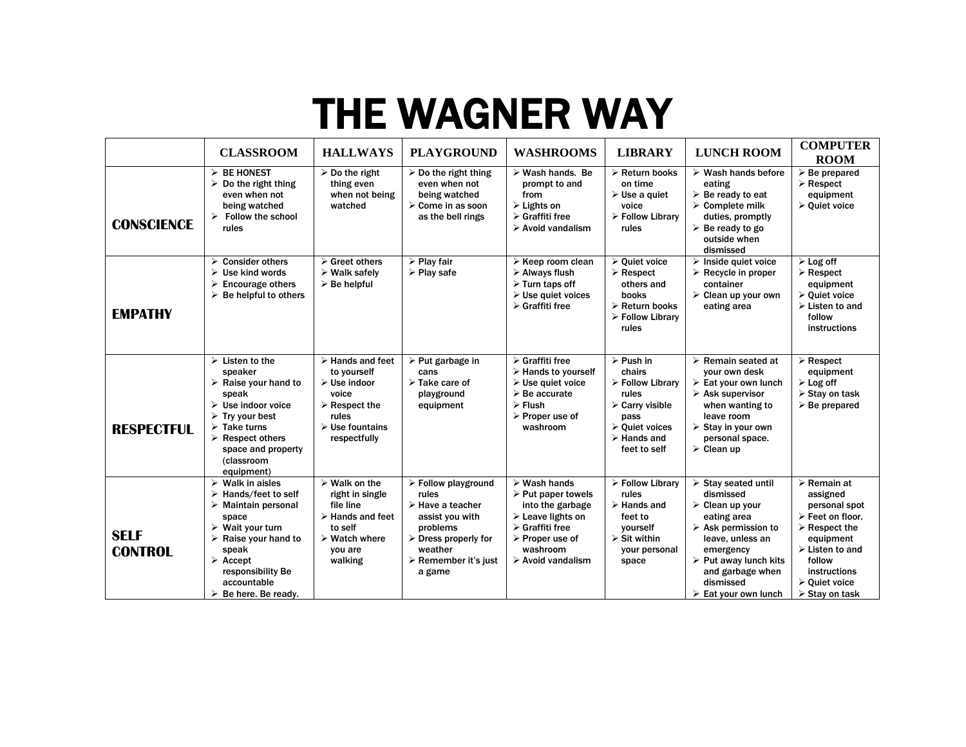## THE WAGNER WAY

|                               | <b>CLASSROOM</b>                                                                                                                                                                                                                                                                               | <b>HALLWAYS</b>                                                                                                                                                                   | <b>PLAYGROUND</b>                                                                                                                                                                                                | <b>WASHROOMS</b>                                                                                                                                                                                                                             | <b>LIBRARY</b>                                                                                                                                                                           | <b>LUNCH ROOM</b>                                                                                                                                                                                                                                                                       | <b>COMPUTER</b><br><b>ROOM</b>                                                                                                                                                                                                                        |
|-------------------------------|------------------------------------------------------------------------------------------------------------------------------------------------------------------------------------------------------------------------------------------------------------------------------------------------|-----------------------------------------------------------------------------------------------------------------------------------------------------------------------------------|------------------------------------------------------------------------------------------------------------------------------------------------------------------------------------------------------------------|----------------------------------------------------------------------------------------------------------------------------------------------------------------------------------------------------------------------------------------------|------------------------------------------------------------------------------------------------------------------------------------------------------------------------------------------|-----------------------------------------------------------------------------------------------------------------------------------------------------------------------------------------------------------------------------------------------------------------------------------------|-------------------------------------------------------------------------------------------------------------------------------------------------------------------------------------------------------------------------------------------------------|
| <b>CONSCIENCE</b>             | <b>BE HONEST</b><br>⋗<br>$\triangleright$ Do the right thing<br>even when not<br>being watched<br>Follow the school<br>rules                                                                                                                                                                   | $\triangleright$ Do the right<br>thing even<br>when not being<br>watched                                                                                                          | $\triangleright$ Do the right thing<br>even when not<br>being watched<br>> Come in as soon<br>as the bell rings                                                                                                  | $\triangleright$ Wash hands. Be<br>prompt to and<br>from<br>$\triangleright$ Lights on<br>$\triangleright$ Graffiti free<br>$\triangleright$ Avoid vandalism                                                                                 | $\triangleright$ Return books<br>on time<br>$\triangleright$ Use a quiet<br>voice<br>$\triangleright$ Follow Library<br>rules                                                            | $\triangleright$ Wash hands before<br>eating<br>$\triangleright$ Be ready to eat<br>$\triangleright$ Complete milk<br>duties, promptly<br>$\triangleright$ Be ready to go<br>outside when<br>dismissed                                                                                  | $\triangleright$ Be prepared<br>$\triangleright$ Respect<br>equipment<br>$\triangleright$ Quiet voice                                                                                                                                                 |
| <b>EMPATHY</b>                | <b>Consider others</b><br>➤<br>➤<br>Use kind words<br>⋗<br>Encourage others<br>$\triangleright$ Be helpful to others                                                                                                                                                                           | $\triangleright$ Greet others<br>$\triangleright$ Walk safely<br>$\triangleright$ Be helpful                                                                                      | $\triangleright$ Play fair<br>$\triangleright$ Play safe                                                                                                                                                         | $\triangleright$ Keep room clean<br>$\triangleright$ Always flush<br>$\triangleright$ Turn taps off<br>$\triangleright$ Use quiet voices<br>$\triangleright$ Graffiti free                                                                   | $\triangleright$ Quiet voice<br>$\triangleright$ Respect<br>others and<br>books<br>$\triangleright$ Return books<br>> Follow Library<br>rules                                            | $\triangleright$ Inside quiet voice<br>$\triangleright$ Recycle in proper<br>container<br>$\triangleright$ Clean up your own<br>eating area                                                                                                                                             | $\triangleright$ Log off<br>$\triangleright$ Respect<br>equipment<br>$\triangleright$ Quiet voice<br>$\triangleright$ Listen to and<br>follow<br>instructions                                                                                         |
| <b>RESPECTFUL</b>             | $\triangleright$ Listen to the<br>speaker<br>$\triangleright$ Raise your hand to<br>speak<br>$\triangleright$ Use indoor voice<br>$\triangleright$ Try your best<br>$\triangleright$ Take turns<br>$\triangleright$ Respect others<br>space and property<br>(classroom<br>equipment)           | $\triangleright$ Hands and feet<br>to yourself<br>$\triangleright$ Use indoor<br>voice<br>$\triangleright$ Respect the<br>rules<br>$\triangleright$ Use fountains<br>respectfully | $\triangleright$ Put garbage in<br>cans<br>$\triangleright$ Take care of<br>playground<br>equipment                                                                                                              | $\triangleright$ Graffiti free<br>$\triangleright$ Hands to yourself<br>$\triangleright$ Use quiet voice<br>$\triangleright$ Be accurate<br>$\triangleright$ Flush<br>$\triangleright$ Proper use of<br>washroom                             | $\triangleright$ Push in<br>chairs<br>> Follow Library<br>rules<br>$\triangleright$ Carry visible<br>pass<br>$\triangleright$ Ouiet voices<br>$\triangleright$ Hands and<br>feet to self | $\triangleright$ Remain seated at<br>your own desk<br>$\triangleright$ Eat your own lunch<br>$\triangleright$ Ask supervisor<br>when wanting to<br>leave room<br>$\triangleright$ Stay in your own<br>personal space.<br>$\triangleright$ Clean up                                      | $\triangleright$ Respect<br>equipment<br>$\triangleright$ Log off<br>$\triangleright$ Stay on task<br>$\triangleright$ Be prepared                                                                                                                    |
| <b>SELF</b><br><b>CONTROL</b> | $\blacktriangleright$<br>Walk in aisles<br>➤<br>Hands/feet to self<br>$\triangleright$ Maintain personal<br>space<br>$\triangleright$ Wait your turn<br>$\triangleright$ Raise your hand to<br>speak<br>$\triangleright$ Accept<br>responsibility Be<br>accountable<br>Be here. Be ready.<br>➤ | $\triangleright$ Walk on the<br>right in single<br>file line<br>$\triangleright$ Hands and feet<br>to self<br>$\triangleright$ Watch where<br>you are<br>walking                  | $\triangleright$ Follow playground<br>rules<br>$\triangleright$ Have a teacher<br>assist you with<br>problems<br>$\triangleright$ Dress properly for<br>weather<br>$\triangleright$ Remember it's just<br>a game | $\triangleright$ Wash hands<br>$\triangleright$ Put paper towels<br>into the garbage<br>$\triangleright$ Leave lights on<br>$\triangleright$ Graffiti free<br>$\triangleright$ Proper use of<br>washroom<br>$\triangleright$ Avoid vandalism | > Follow Library<br>rules<br>$\triangleright$ Hands and<br>feet to<br>vourself<br>$\triangleright$ Sit within<br>your personal<br>space                                                  | $\triangleright$ Stay seated until<br>dismissed<br>$\triangleright$ Clean up your<br>eating area<br>$\triangleright$ Ask permission to<br>leave, unless an<br>emergency<br>$\triangleright$ Put away lunch kits<br>and garbage when<br>dismissed<br>$\triangleright$ Eat your own lunch | $\triangleright$ Remain at<br>assigned<br>personal spot<br>$\triangleright$ Feet on floor.<br>$\triangleright$ Respect the<br>equipment<br>$\triangleright$ Listen to and<br>follow<br>instructions<br>≻ Quiet voice<br>$\triangleright$ Stay on task |